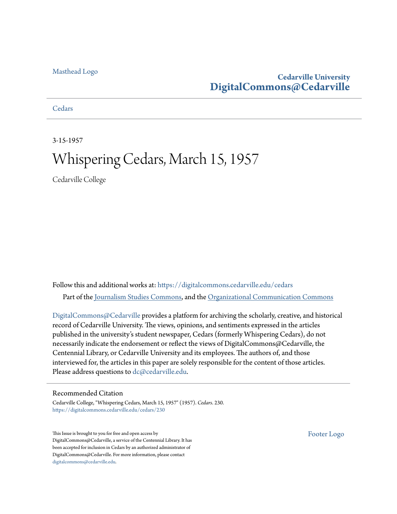#### [Masthead Logo](http://www.cedarville.edu/?utm_source=digitalcommons.cedarville.edu%2Fcedars%2F230&utm_medium=PDF&utm_campaign=PDFCoverPages)

## **Cedarville University [DigitalCommons@Cedarville](https://digitalcommons.cedarville.edu?utm_source=digitalcommons.cedarville.edu%2Fcedars%2F230&utm_medium=PDF&utm_campaign=PDFCoverPages)**

**[Cedars](https://digitalcommons.cedarville.edu/cedars?utm_source=digitalcommons.cedarville.edu%2Fcedars%2F230&utm_medium=PDF&utm_campaign=PDFCoverPages)** 

3-15-1957

# Whispering Cedars, March 15, 1957

Cedarville College

Follow this and additional works at: [https://digitalcommons.cedarville.edu/cedars](https://digitalcommons.cedarville.edu/cedars?utm_source=digitalcommons.cedarville.edu%2Fcedars%2F230&utm_medium=PDF&utm_campaign=PDFCoverPages) Part of the [Journalism Studies Commons](http://network.bepress.com/hgg/discipline/333?utm_source=digitalcommons.cedarville.edu%2Fcedars%2F230&utm_medium=PDF&utm_campaign=PDFCoverPages), and the [Organizational Communication Commons](http://network.bepress.com/hgg/discipline/335?utm_source=digitalcommons.cedarville.edu%2Fcedars%2F230&utm_medium=PDF&utm_campaign=PDFCoverPages)

[DigitalCommons@Cedarville](http://digitalcommons.cedarville.edu/) provides a platform for archiving the scholarly, creative, and historical record of Cedarville University. The views, opinions, and sentiments expressed in the articles published in the university's student newspaper, Cedars (formerly Whispering Cedars), do not necessarily indicate the endorsement or reflect the views of DigitalCommons@Cedarville, the Centennial Library, or Cedarville University and its employees. The authors of, and those interviewed for, the articles in this paper are solely responsible for the content of those articles. Please address questions to [dc@cedarville.edu.](mailto:dc@cedarville.edu)

#### Recommended Citation

Cedarville College, "Whispering Cedars, March 15, 1957" (1957). *Cedars*. 230. [https://digitalcommons.cedarville.edu/cedars/230](https://digitalcommons.cedarville.edu/cedars/230?utm_source=digitalcommons.cedarville.edu%2Fcedars%2F230&utm_medium=PDF&utm_campaign=PDFCoverPages)

This Issue is brought to you for free and open access by DigitalCommons@Cedarville, a service of the Centennial Library. It has been accepted for inclusion in Cedars by an authorized administrator of DigitalCommons@Cedarville. For more information, please contact [digitalcommons@cedarville.edu](mailto:digitalcommons@cedarville.edu).

[Footer Logo](http://www.cedarville.edu/Academics/Library.aspx?utm_source=digitalcommons.cedarville.edu%2Fcedars%2F230&utm_medium=PDF&utm_campaign=PDFCoverPages)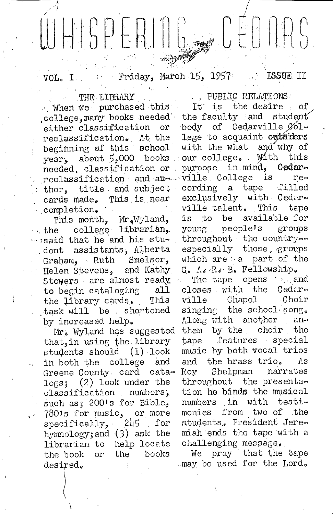# $G = C$  $E \cap R$ WHISPERIN

Friday, March 15, 1957 ISSUE II  $VOL$   $I$ 

THE LIBRARY

When we purchased this college, many books needed the faculty and student either classification or reclassification. At the beginning of this school year, about 5,000 books needed classification or reclassification and anthor, title and subject cards made. This is near completion.

This month, Mr.Wyland, college librarian.  $\cdot$  , the ... isaid that he and his student assistants, Alberta Graham, Ruth Smelser. Helen Stevens, and Kathy Stowers are almost ready to begin cataloging all the library cards. This task will be shortened by increased help.

Mr. Wyland has suggested that, in using the library students should (1) look in both the college and Greene County card cata- $\log s$ ; (2) look under the classification numbers, such as; 200's for Bible, 7801s for music, or more<br>specifically, 245 for hymnology; and (3) ask the librarian to help locate the book or the books desired.

. PUBLIC RELATIONS It is the desire of  $\mathcal{L}_{\rm{max}}$ body of Cedarville Ø61lege to acquaint outsiders with the what and why of our college. With this purpose in mind, Cedarville College is  $re$ cording a tape filled exclusively with Cedarville talent. This tape to be available for is young people's groups throughout the countryespecially those groups which are a part of the G. A. R. B. Fellowship. The tape opens <sub>is</sub> and  $\tilde{E}_{\rm{max}}$ closes with the Cedarville Chapel Choir singing the school song. Along with another anthem by the choir the tape features special music by both vocal trios and the brass trio.  $\Lambda$ s Shelpman narrates Roy throughout the presentation he binds the musical numbers in with testimonies from two of the students. President Jeremiah ends the tape with a

We pray that the tape . may be used for the Lord.

challenging message.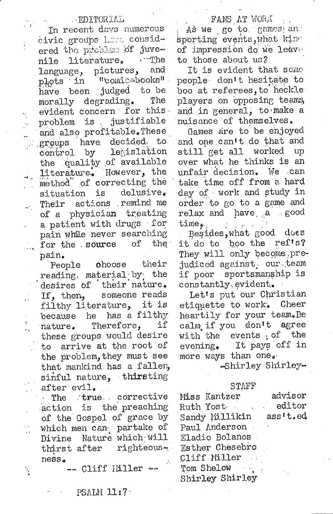#### **EDITORIAL**

ŧ

In recent days numerous civic groups hard considered the preblem of juve-√ ∵rhe nile literature. and pictures, language, " "comicabooks" plots in judged to be have been The morally degrading. evident concern for this. problem is justifiable and also profitable. These groups have decided to control by legislation the quality of available literature. However, the method of correcting the delusive. situation is actions remind me Their of a physician treating a patient with drugs for pain while never searching for the source οf the :  $\mathbb{R}^{\mathbb{Z}}$ pain.

ohoose their People reading material by the desires of their nature. someone reads If, then, filthy literature, it is because he has a filthy Therefore, if nature. these groups would desire to arrive at the root of the problem, they must see that mankind has a fallen, sinful nature, thirsting after evil.

The true corrective action is the preaching of the Gospel of grace by which men can partake of Divine Nature which will thirst after righteous $ness<sub>a</sub>$ 

Ý

#### -- Cliff Miller --

#### FANS AT WORK

As we go to games and sporting events, what kind of impression do we leave to those about us?

It is evident that some people don't hesitate to boo at referees, to heckle players on opposing teams, and in general, to make a nuisance of themselves.

Games are to be enjoyed and one can't do that and still get all worked up over what he thinks is an unfair decision. We can take time off from a hard day of work and study in order to go to a game and relax and have a good time $_{\bullet}$ .

Besides, what good does it do to boo the ref's? They will only become prejudiced against, our team if poor sportsmanship is constantly evident.

Let's put our Christian etiquette to work. Cheer heartily for your team. Be calm if you don't agree with the events of the evening. It pays off in more ways than one.

-Shirley Shirley-

#### STAFF

| Miss Kantzer                  | advisor  |
|-------------------------------|----------|
| Ruth Yost<br><b>Carl Carl</b> | editor   |
| Sandy Millikin                | ass't.ed |
| Paul Anderson                 |          |
| Eladio Bolanos                |          |
| Esther Chesebro               |          |
| Cliff Miller<br>$\sim 10$     |          |
| Tom Shelow                    |          |
| Shirley Shirley               |          |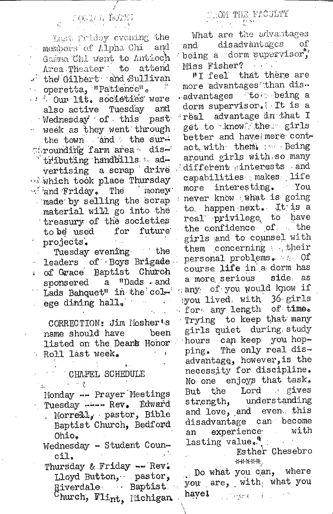SOCIAL ROBES

Last Friday evening the members of Alpha Chi and Gamma Chi went to Antioch Area Theater to attend the Gilbert and Sullivan operetta, "Patience". 1 . Our lit. societies were also active Tuesday and Wednesday of this past week as they went through the town and the surthrounding farm area distributing handbills advertising a scrap drive which took place Thursday money.  $\sim$  and Friday. The made by selling the scrap material will go into the treasury of the societies to be used for future projects.  $\mathcal{F}_{\text{max}}$ 

Tuesday evening the leaders of Boys Brigade of Grace Baptist Church  $\mathbf{r}$ sponsered a "Dads and Lads Banquet" in the colege dining hall.

CORRECTION: Jim Mosherts name should have been listed on the Deans Honor Roll last week.

### CHAPEL SCHEDULE

计可变

 $\Lambda_{\rm{m}}$ 

Monday -- Prayer Meetings Tuesday ---- Rev. Edward . Morrell., pastor, Bible Baptist Church, Bedford Ohio. Wednesday - Student Coun-

cil. Thursday & Friday -- Rev. Lloyd Button, pastor, Riverdale Baptist  $^{\rm 0}$ hurch, Flint, Michigan.

#### OM THE FLOULTY

What are the advantages disadvantages оf and being a dorm supervisor, Miss Fisher?

"I feel that there are more advantages than dis-.advantages to being a dorm supervisor. It is a real advantage in that I get to know the girls better and have more contact.with them. Seing around girls with so many different interests and capabilities makes life interesting. You more never know what is going to happen next. It is a real privilege to have the confidence of the girls and to counsel with them concerning their personal problems. to Of course life in a dorm has a more serious side as any of you would know if you lived, with 36 girls for any length of time. Trying to keep that many girls quiet during study can keep you hophours The only real disping. advantage, however, is the necessity for discipline. No one enjoys that task. But the Lord gives strength, understanding and love, and even this disadvantage can become experience with an  $\text{lasting value.}$ 

> Esther Chesebro \*\*\*\*\*

Do what you can, where you are, with what you have! i inge∢ i